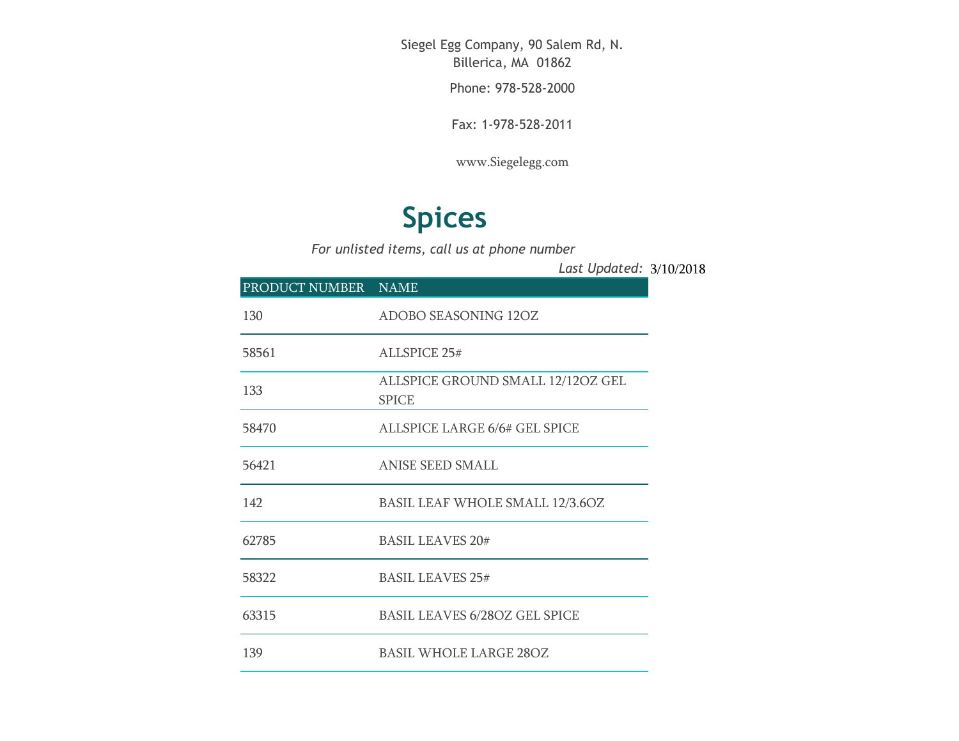Siegel Egg Company, 90 Salem Rd, N. Billerica, MA 01862

Phone: 978-528-2000

Fax: 1-978-528-2011

[www.Siegelegg.com](http://www.siegelegg.com/)

## **Spices**

*For unlisted items, call us at phone number*

3/10/2018 *Last Updated:*

| PRODUCT NUMBER NAME |                                                   |
|---------------------|---------------------------------------------------|
| 130                 | <b>ADOBO SEASONING 12OZ</b>                       |
| 58561               | <b>ALLSPICE 25#</b>                               |
| 133                 | ALLSPICE GROUND SMALL 12/12OZ GEL<br><b>SPICE</b> |
| 58470               | ALLSPICE LARGE 6/6# GEL SPICE                     |
| 56421               | <b>ANISE SEED SMALL</b>                           |
| 142                 | <b>BASIL LEAF WHOLE SMALL 12/3.6OZ</b>            |
| 62785               | <b>BASIL LEAVES 20#</b>                           |
| 58322               | <b>BASIL LEAVES 25#</b>                           |
| 63315               | <b>BASIL LEAVES 6/28OZ GEL SPICE</b>              |
| 139                 | <b>BASIL WHOLE LARGE 28OZ</b>                     |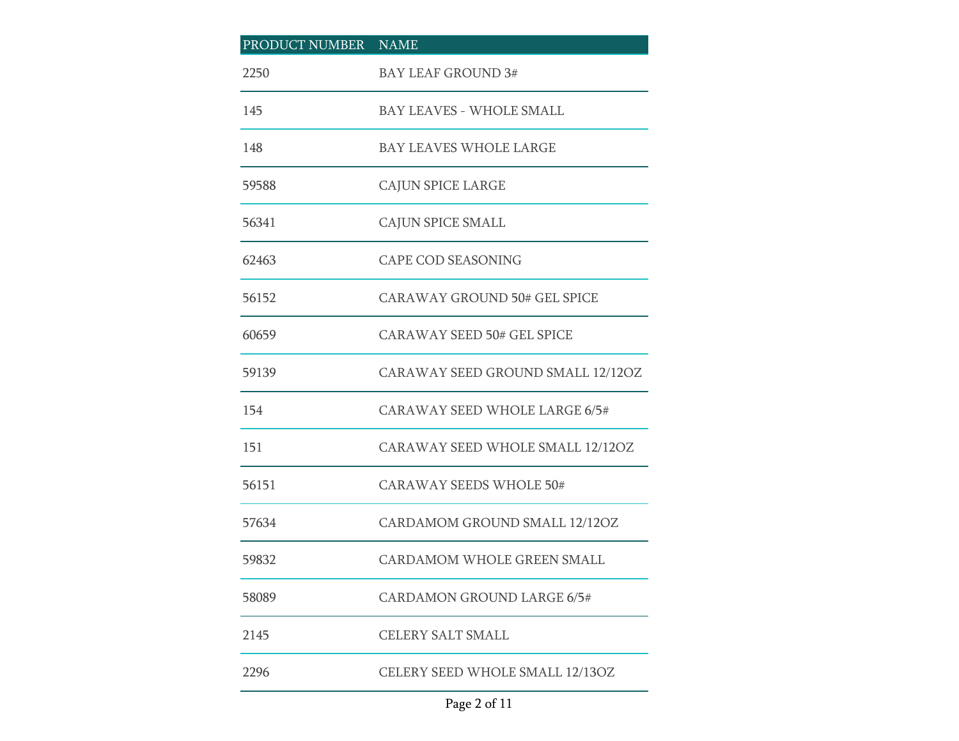| PRODUCT NUMBER NAME |                                     |
|---------------------|-------------------------------------|
| 2250                | <b>BAY LEAF GROUND 3#</b>           |
| 145                 | <b>BAY LEAVES - WHOLE SMALL</b>     |
| 148                 | BAY LEAVES WHOLE LARGE              |
| 59588               | <b>CAJUN SPICE LARGE</b>            |
| 56341               | CAJUN SPICE SMALL                   |
| 62463               | <b>CAPE COD SEASONING</b>           |
| 56152               | <b>CARAWAY GROUND 50# GEL SPICE</b> |
| 60659               | <b>CARAWAY SEED 50# GEL SPICE</b>   |
| 59139               | CARAWAY SEED GROUND SMALL 12/12OZ   |
| 154                 | CARAWAY SEED WHOLE LARGE 6/5#       |
| 151                 | CARAWAY SEED WHOLE SMALL 12/12OZ    |
| 56151               | <b>CARAWAY SEEDS WHOLE 50#</b>      |
| 57634               | CARDAMOM GROUND SMALL 12/12OZ       |
| 59832               | <b>CARDAMOM WHOLE GREEN SMALL</b>   |
| 58089               | <b>CARDAMON GROUND LARGE 6/5#</b>   |
| 2145                | <b>CELERY SALT SMALL</b>            |
| 2296                | CELERY SEED WHOLE SMALL 12/13OZ     |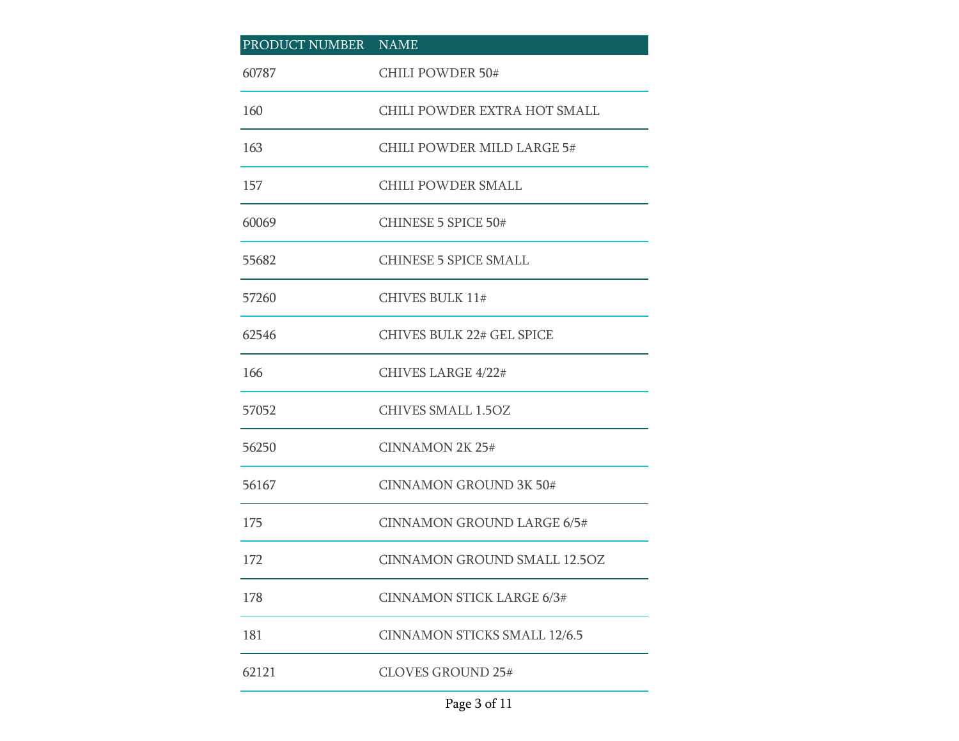| PRODUCT NUMBER NAME |                                     |
|---------------------|-------------------------------------|
| 60787               | <b>CHILI POWDER 50#</b>             |
| 160                 | CHILI POWDER EXTRA HOT SMALL        |
| 163                 | CHILI POWDER MILD LARGE 5#          |
| 157                 | CHILI POWDER SMALL                  |
| 60069               | <b>CHINESE 5 SPICE 50#</b>          |
| 55682               | <b>CHINESE 5 SPICE SMALL</b>        |
| 57260               | <b>CHIVES BULK 11#</b>              |
| 62546               | <b>CHIVES BULK 22# GEL SPICE</b>    |
| 166                 | CHIVES LARGE 4/22#                  |
| 57052               | <b>CHIVES SMALL 1.5OZ</b>           |
| 56250               | <b>CINNAMON 2K 25#</b>              |
| 56167               | <b>CINNAMON GROUND 3K 50#</b>       |
| 175                 | <b>CINNAMON GROUND LARGE 6/5#</b>   |
| 172                 | <b>CINNAMON GROUND SMALL 12.5OZ</b> |
| 178                 | <b>CINNAMON STICK LARGE 6/3#</b>    |
| 181                 | <b>CINNAMON STICKS SMALL 12/6.5</b> |
| 62121               | <b>CLOVES GROUND 25#</b>            |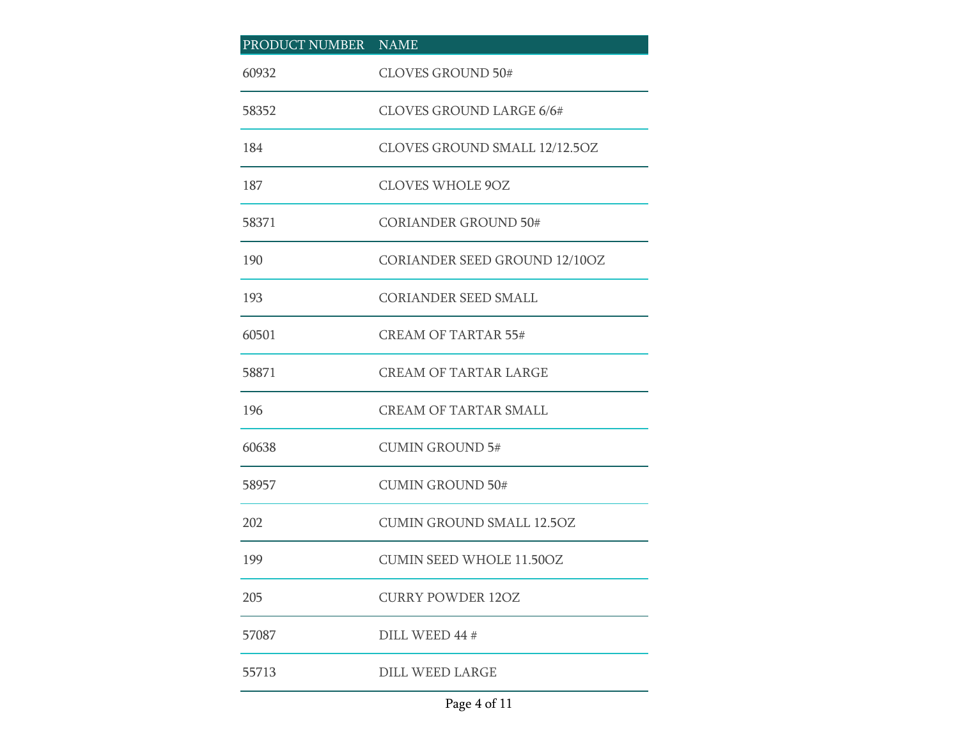| PRODUCT NUMBER NAME |                                      |
|---------------------|--------------------------------------|
| 60932               | <b>CLOVES GROUND 50#</b>             |
| 58352               | <b>CLOVES GROUND LARGE 6/6#</b>      |
| 184                 | CLOVES GROUND SMALL 12/12.5OZ        |
| 187                 | <b>CLOVES WHOLE 9OZ</b>              |
| 58371               | <b>CORIANDER GROUND 50#</b>          |
| 190                 | <b>CORIANDER SEED GROUND 12/10OZ</b> |
| 193                 | <b>CORIANDER SEED SMALL</b>          |
| 60501               | <b>CREAM OF TARTAR 55#</b>           |
| 58871               | <b>CREAM OF TARTAR LARGE</b>         |
| 196                 | <b>CREAM OF TARTAR SMALL</b>         |
| 60638               | <b>CUMIN GROUND 5#</b>               |
| 58957               | <b>CUMIN GROUND 50#</b>              |
| 202                 | <b>CUMIN GROUND SMALL 12.50Z</b>     |
| 199                 | <b>CUMIN SEED WHOLE 11.50OZ</b>      |
| 205                 | <b>CURRY POWDER 120Z</b>             |
| 57087               | DILL WEED 44 #                       |
| 55713               | <b>DILL WEED LARGE</b>               |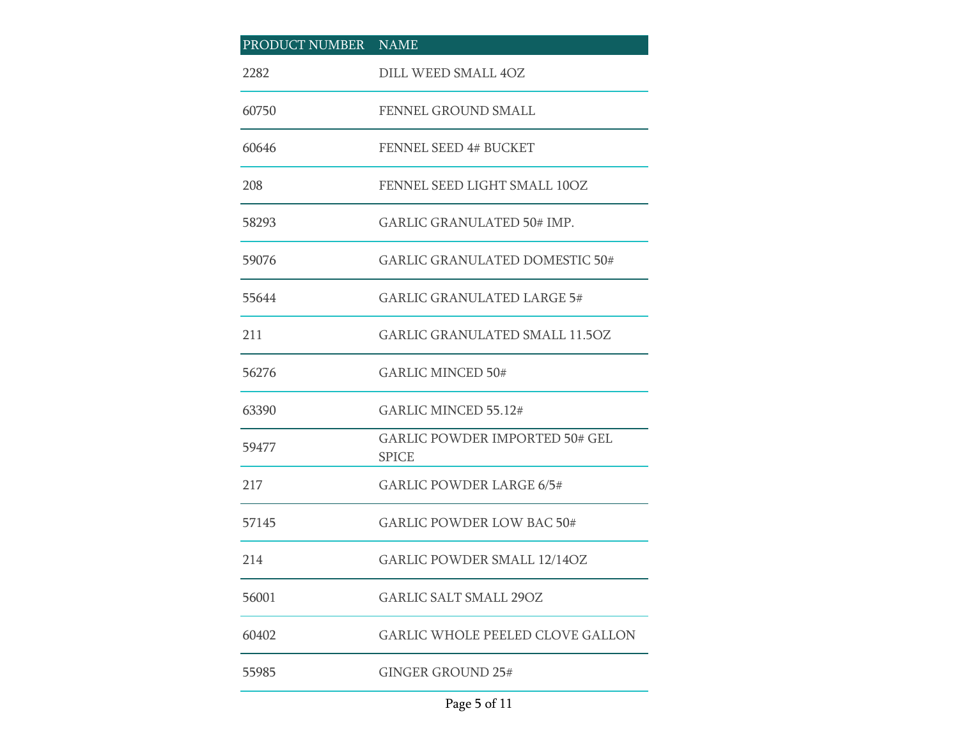| PRODUCT NUMBER NAME |                                                       |
|---------------------|-------------------------------------------------------|
| 2282                | DILL WEED SMALL 4OZ                                   |
| 60750               | FENNEL GROUND SMALL                                   |
| 60646               | <b>FENNEL SEED 4# BUCKET</b>                          |
| 208                 | FENNEL SEED LIGHT SMALL 10OZ                          |
| 58293               | <b>GARLIC GRANULATED 50# IMP.</b>                     |
| 59076               | <b>GARLIC GRANULATED DOMESTIC 50#</b>                 |
| 55644               | <b>GARLIC GRANULATED LARGE 5#</b>                     |
| 211                 | <b>GARLIC GRANULATED SMALL 11.5OZ</b>                 |
| 56276               | <b>GARLIC MINCED 50#</b>                              |
| 63390               | GARLIC MINCED 55.12#                                  |
| 59477               | <b>GARLIC POWDER IMPORTED 50# GEL</b><br><b>SPICE</b> |
| 217                 | <b>GARLIC POWDER LARGE 6/5#</b>                       |
| 57145               | <b>GARLIC POWDER LOW BAC 50#</b>                      |
| 214                 | <b>GARLIC POWDER SMALL 12/14OZ</b>                    |
| 56001               | <b>GARLIC SALT SMALL 29OZ</b>                         |
| 60402               | <b>GARLIC WHOLE PEELED CLOVE GALLON</b>               |
| 55985               | <b>GINGER GROUND 25#</b>                              |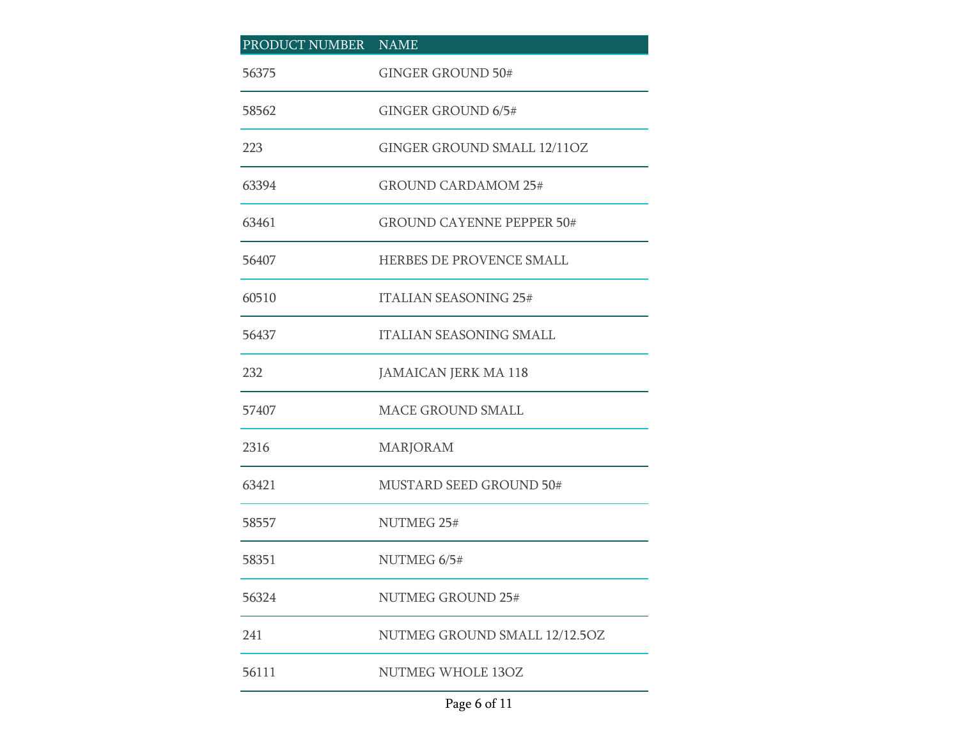| PRODUCT NUMBER NAME |                                  |
|---------------------|----------------------------------|
| 56375               | <b>GINGER GROUND 50#</b>         |
| 58562               | <b>GINGER GROUND 6/5#</b>        |
| 223                 | GINGER GROUND SMALL 12/11OZ      |
| 63394               | <b>GROUND CARDAMOM 25#</b>       |
| 63461               | <b>GROUND CAYENNE PEPPER 50#</b> |
| 56407               | HERBES DE PROVENCE SMALL         |
| 60510               | <b>ITALIAN SEASONING 25#</b>     |
| 56437               | <b>ITALIAN SEASONING SMALL</b>   |
| 232                 | <b>JAMAICAN JERK MA 118</b>      |
| 57407               | <b>MACE GROUND SMALL</b>         |
| 2316                | <b>MARJORAM</b>                  |
| 63421               | <b>MUSTARD SEED GROUND 50#</b>   |
| 58557               | NUTMEG 25#                       |
| 58351               | NUTMEG 6/5#                      |
| 56324               | <b>NUTMEG GROUND 25#</b>         |
| 241                 | NUTMEG GROUND SMALL 12/12.5OZ    |
| 56111               | NUTMEG WHOLE 13OZ                |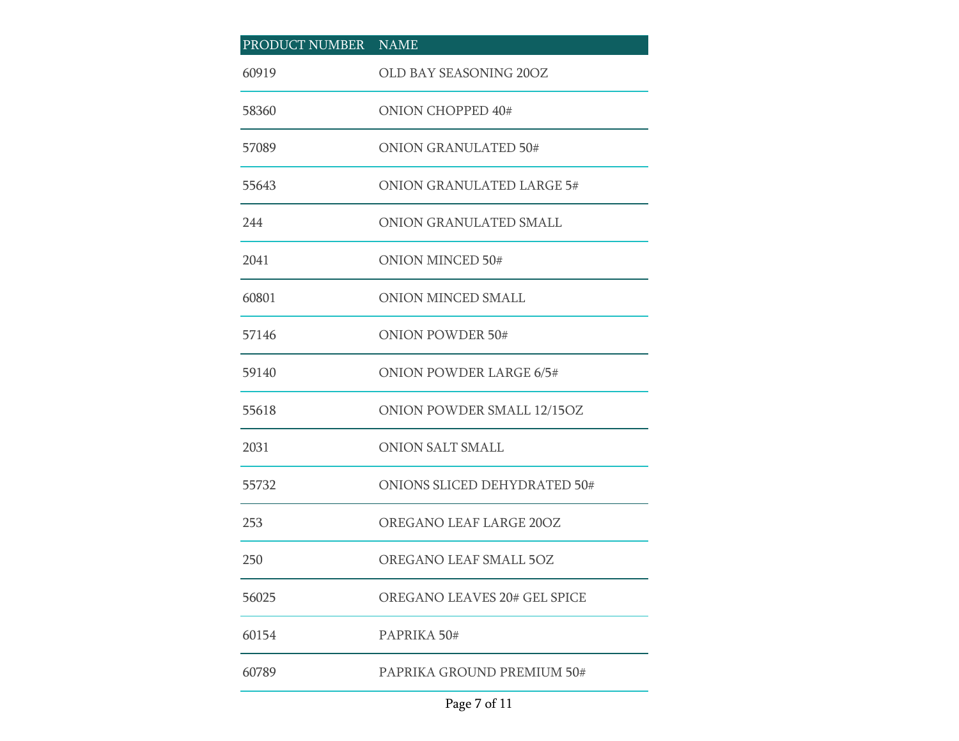| PRODUCT NUMBER NAME |                                     |
|---------------------|-------------------------------------|
| 60919               | OLD BAY SEASONING 20OZ              |
| 58360               | <b>ONION CHOPPED 40#</b>            |
| 57089               | <b>ONION GRANULATED 50#</b>         |
| 55643               | <b>ONION GRANULATED LARGE 5#</b>    |
| 244                 | ONION GRANULATED SMALL              |
| 2041                | <b>ONION MINCED 50#</b>             |
| 60801               | ONION MINCED SMALL                  |
| 57146               | <b>ONION POWDER 50#</b>             |
| 59140               | <b>ONION POWDER LARGE 6/5#</b>      |
| 55618               | ONION POWDER SMALL 12/15OZ          |
| 2031                | <b>ONION SALT SMALL</b>             |
| 55732               | <b>ONIONS SLICED DEHYDRATED 50#</b> |
| 253                 | OREGANO LEAF LARGE 20OZ             |
| 250                 | OREGANO LEAF SMALL 5OZ              |
| 56025               | OREGANO LEAVES 20# GEL SPICE        |
| 60154               | PAPRIKA 50#                         |
| 60789               | PAPRIKA GROUND PREMIUM 50#          |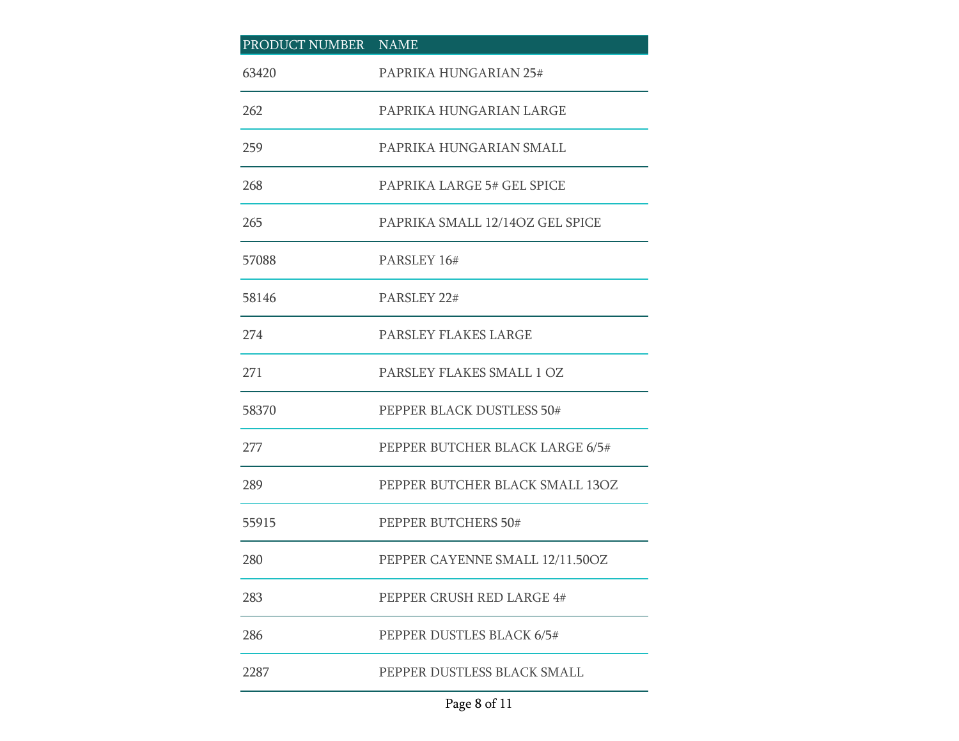| PRODUCT NUMBER NAME |                                 |
|---------------------|---------------------------------|
| 63420               | PAPRIKA HUNGARIAN 25#           |
| 262                 | PAPRIKA HUNGARIAN LARGE         |
| 259                 | PAPRIKA HUNGARIAN SMALL         |
| 268                 | PAPRIKA LARGE 5# GEL SPICE      |
| 265                 | PAPRIKA SMALL 12/14OZ GEL SPICE |
| 57088               | PARSLEY 16#                     |
| 58146               | PARSLEY 22#                     |
| 274                 | PARSLEY FLAKES LARGE            |
| 271                 | PARSLEY FLAKES SMALL 1 OZ       |
| 58370               | PEPPER BLACK DUSTLESS 50#       |
| 277                 | PEPPER BUTCHER BLACK LARGE 6/5# |
| 289                 | PEPPER BUTCHER BLACK SMALL 13OZ |
| 55915               | PEPPER BUTCHERS 50#             |
| 280                 | PEPPER CAYENNE SMALL 12/11.50OZ |
| 283                 | PEPPER CRUSH RED LARGE 4#       |
| 286                 | PEPPER DUSTLES BLACK 6/5#       |
| 2287                | PEPPER DUSTLESS BLACK SMALL     |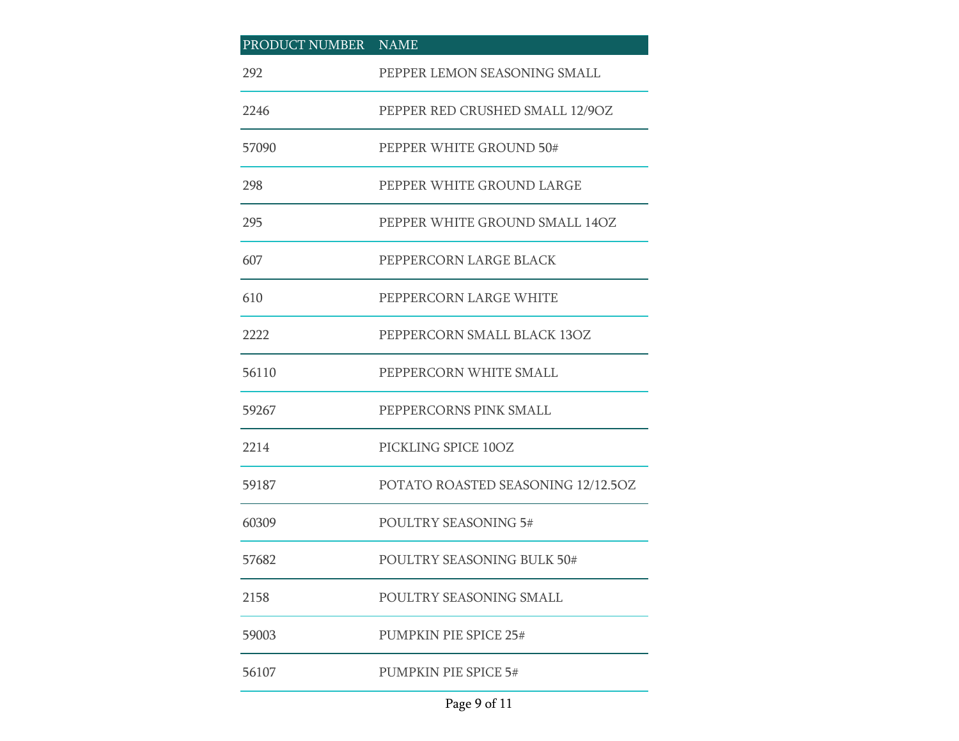| PRODUCT NUMBER NAME |                                    |
|---------------------|------------------------------------|
| 292                 | PEPPER LEMON SEASONING SMALL       |
| 2246                | PEPPER RED CRUSHED SMALL 12/9OZ    |
| 57090               | PEPPER WHITE GROUND 50#            |
| 298                 | PEPPER WHITE GROUND LARGE          |
| 295                 | PEPPER WHITE GROUND SMALL 14OZ     |
| 607                 | PEPPERCORN LARGE BLACK             |
| 610                 | PEPPERCORN LARGE WHITE             |
| 2222                | PEPPERCORN SMALL BLACK 13OZ        |
| 56110               | PEPPERCORN WHITE SMALL             |
| 59267               | PEPPERCORNS PINK SMALL             |
| 2214                | PICKLING SPICE 10OZ                |
| 59187               | POTATO ROASTED SEASONING 12/12.5OZ |
| 60309               | <b>POULTRY SEASONING 5#</b>        |
| 57682               | POULTRY SEASONING BULK 50#         |
| 2158                | POULTRY SEASONING SMALL            |
| 59003               | <b>PUMPKIN PIE SPICE 25#</b>       |
| 56107               | <b>PUMPKIN PIE SPICE 5#</b>        |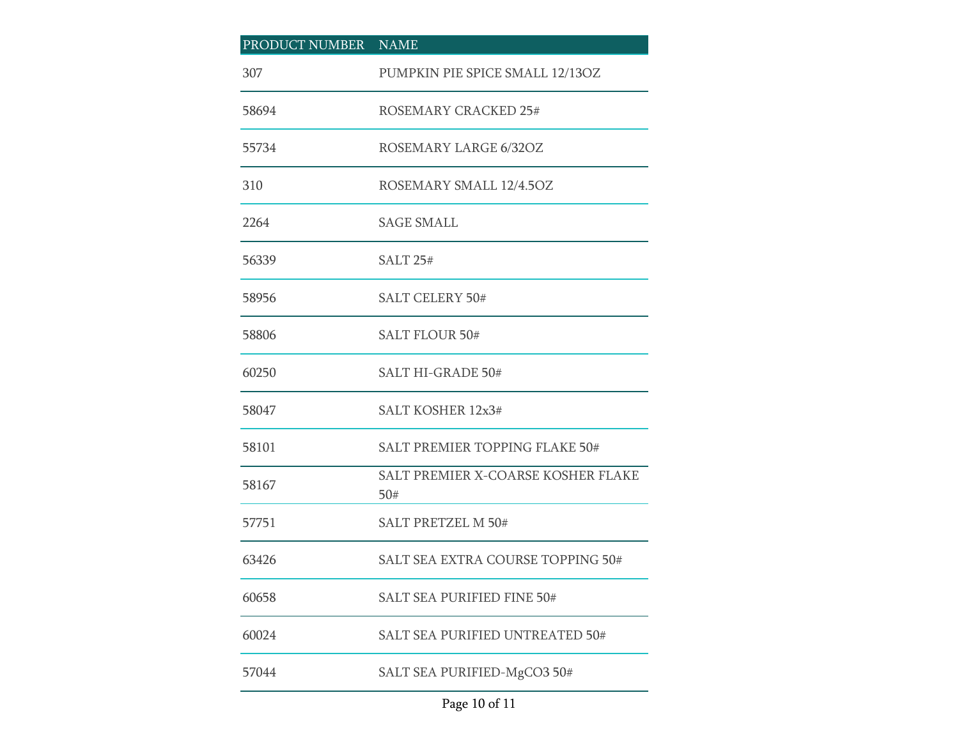| PRODUCT NUMBER NAME |                                           |
|---------------------|-------------------------------------------|
| 307                 | PUMPKIN PIE SPICE SMALL 12/13OZ           |
| 58694               | ROSEMARY CRACKED 25#                      |
| 55734               | ROSEMARY LARGE 6/32OZ                     |
| 310                 | ROSEMARY SMALL 12/4.5OZ                   |
| 2264                | <b>SAGE SMALL</b>                         |
| 56339               | <b>SALT 25#</b>                           |
| 58956               | <b>SALT CELERY 50#</b>                    |
| 58806               | <b>SALT FLOUR 50#</b>                     |
| 60250               | <b>SALT HI-GRADE 50#</b>                  |
| 58047               | SALT KOSHER 12x3#                         |
| 58101               | SALT PREMIER TOPPING FLAKE 50#            |
| 58167               | SALT PREMIER X-COARSE KOSHER FLAKE<br>50# |
| 57751               | <b>SALT PRETZEL M 50#</b>                 |
| 63426               | <b>SALT SEA EXTRA COURSE TOPPING 50#</b>  |
| 60658               | <b>SALT SEA PURIFIED FINE 50#</b>         |
| 60024               | SALT SEA PURIFIED UNTREATED 50#           |
| 57044               | SALT SEA PURIFIED-MgCO3 50#               |

## Page 10 of 11